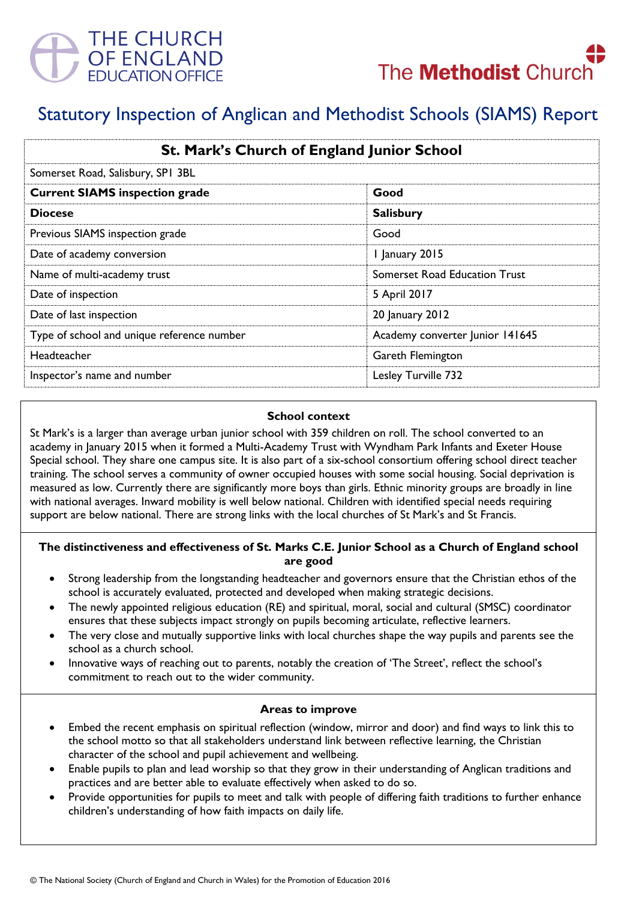



# Statutory Inspection of Anglican and Methodist Schools (SIAMS) Report

| St. Mark's Church of England Junior School<br>Somerset Road, Salisbury, SPI 3BL |                                      |
|---------------------------------------------------------------------------------|--------------------------------------|
|                                                                                 |                                      |
| <b>Diocese</b>                                                                  | <b>Salisbury</b>                     |
| Previous SIAMS inspection grade                                                 | Good                                 |
| Date of academy conversion                                                      | 1 January 2015                       |
| Name of multi-academy trust                                                     | <b>Somerset Road Education Trust</b> |
| Date of inspection                                                              | 5 April 2017                         |
| Date of last inspection                                                         | 20 January 2012                      |
| Type of school and unique reference number                                      | Academy converter Junior 141645      |
| Headteacher                                                                     | Gareth Flemington                    |
| Inspector's name and number                                                     | Lesley Turville 732                  |

#### **School context**

St Mark's is a larger than average urban junior school with 359 children on roll. The school converted to an academy in January 2015 when it formed a Multi-Academy Trust with Wyndham Park Infants and Exeter House Special school. They share one campus site. It is also part of a six-school consortium offering school direct teacher training. The school serves a community of owner occupied houses with some social housing. Social deprivation is measured as low. Currently there are significantly more boys than girls. Ethnic minority groups are broadly in line with national averages. Inward mobility is well below national. Children with identified special needs requiring support are below national. There are strong links with the local churches of St Mark's and St Francis.

### **The distinctiveness and effectiveness of St. Marks C.E. Junior School as a Church of England school are good**

- Strong leadership from the longstanding headteacher and governors ensure that the Christian ethos of the school is accurately evaluated, protected and developed when making strategic decisions.
- The newly appointed religious education (RE) and spiritual, moral, social and cultural (SMSC) coordinator ensures that these subjects impact strongly on pupils becoming articulate, reflective learners.
- The very close and mutually supportive links with local churches shape the way pupils and parents see the school as a church school.
- Innovative ways of reaching out to parents, notably the creation of 'The Street', reflect the school's commitment to reach out to the wider community.

### **Areas to improve**

- Embed the recent emphasis on spiritual reflection (window, mirror and door) and find ways to link this to the school motto so that all stakeholders understand link between reflective learning, the Christian character of the school and pupil achievement and wellbeing.
- Enable pupils to plan and lead worship so that they grow in their understanding of Anglican traditions and practices and are better able to evaluate effectively when asked to do so.
- Provide opportunities for pupils to meet and talk with people of differing faith traditions to further enhance children's understanding of how faith impacts on daily life.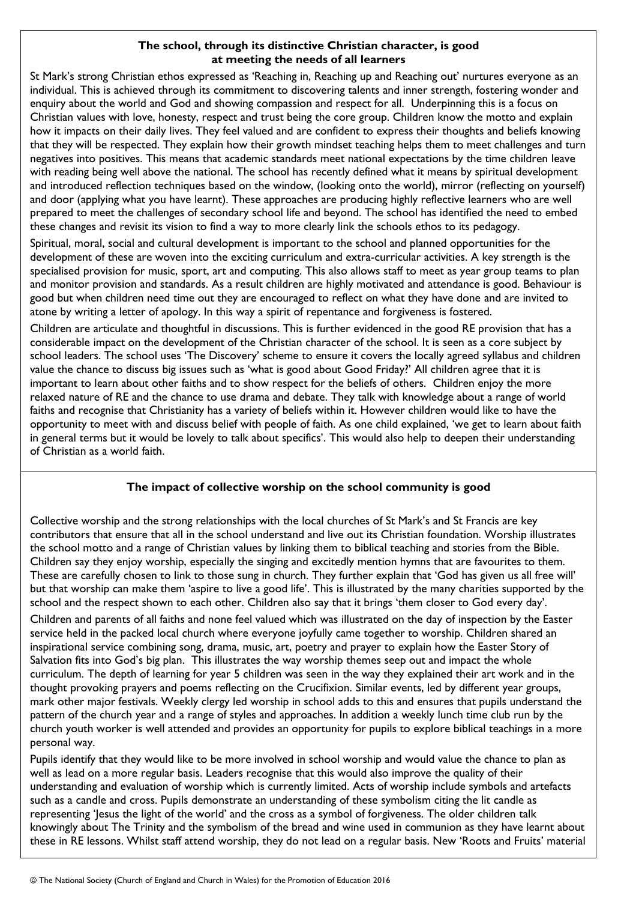## **The school, through its distinctive Christian character, is good at meeting the needs of all learners**

St Mark's strong Christian ethos expressed as 'Reaching in, Reaching up and Reaching out' nurtures everyone as an individual. This is achieved through its commitment to discovering talents and inner strength, fostering wonder and enquiry about the world and God and showing compassion and respect for all. Underpinning this is a focus on Christian values with love, honesty, respect and trust being the core group. Children know the motto and explain how it impacts on their daily lives. They feel valued and are confident to express their thoughts and beliefs knowing that they will be respected. They explain how their growth mindset teaching helps them to meet challenges and turn negatives into positives. This means that academic standards meet national expectations by the time children leave with reading being well above the national. The school has recently defined what it means by spiritual development and introduced reflection techniques based on the window, (looking onto the world), mirror (reflecting on yourself) and door (applying what you have learnt). These approaches are producing highly reflective learners who are well prepared to meet the challenges of secondary school life and beyond. The school has identified the need to embed these changes and revisit its vision to find a way to more clearly link the schools ethos to its pedagogy.

Spiritual, moral, social and cultural development is important to the school and planned opportunities for the development of these are woven into the exciting curriculum and extra-curricular activities. A key strength is the specialised provision for music, sport, art and computing. This also allows staff to meet as year group teams to plan and monitor provision and standards. As a result children are highly motivated and attendance is good. Behaviour is good but when children need time out they are encouraged to reflect on what they have done and are invited to atone by writing a letter of apology. In this way a spirit of repentance and forgiveness is fostered.

Children are articulate and thoughtful in discussions. This is further evidenced in the good RE provision that has a considerable impact on the development of the Christian character of the school. It is seen as a core subject by school leaders. The school uses 'The Discovery' scheme to ensure it covers the locally agreed syllabus and children value the chance to discuss big issues such as 'what is good about Good Friday?' All children agree that it is important to learn about other faiths and to show respect for the beliefs of others. Children enjoy the more relaxed nature of RE and the chance to use drama and debate. They talk with knowledge about a range of world faiths and recognise that Christianity has a variety of beliefs within it. However children would like to have the opportunity to meet with and discuss belief with people of faith. As one child explained, 'we get to learn about faith in general terms but it would be lovely to talk about specifics'. This would also help to deepen their understanding of Christian as a world faith.

### **The impact of collective worship on the school community is good**

Collective worship and the strong relationships with the local churches of St Mark's and St Francis are key contributors that ensure that all in the school understand and live out its Christian foundation. Worship illustrates the school motto and a range of Christian values by linking them to biblical teaching and stories from the Bible. Children say they enjoy worship, especially the singing and excitedly mention hymns that are favourites to them. These are carefully chosen to link to those sung in church. They further explain that 'God has given us all free will' but that worship can make them 'aspire to live a good life'. This is illustrated by the many charities supported by the school and the respect shown to each other. Children also say that it brings 'them closer to God every day'.

Children and parents of all faiths and none feel valued which was illustrated on the day of inspection by the Easter service held in the packed local church where everyone joyfully came together to worship. Children shared an inspirational service combining song, drama, music, art, poetry and prayer to explain how the Easter Story of Salvation fits into God's big plan. This illustrates the way worship themes seep out and impact the whole curriculum. The depth of learning for year 5 children was seen in the way they explained their art work and in the thought provoking prayers and poems reflecting on the Crucifixion. Similar events, led by different year groups, mark other major festivals. Weekly clergy led worship in school adds to this and ensures that pupils understand the pattern of the church year and a range of styles and approaches. In addition a weekly lunch time club run by the church youth worker is well attended and provides an opportunity for pupils to explore biblical teachings in a more personal way.

Pupils identify that they would like to be more involved in school worship and would value the chance to plan as well as lead on a more regular basis. Leaders recognise that this would also improve the quality of their understanding and evaluation of worship which is currently limited. Acts of worship include symbols and artefacts such as a candle and cross. Pupils demonstrate an understanding of these symbolism citing the lit candle as representing 'Jesus the light of the world' and the cross as a symbol of forgiveness. The older children talk knowingly about The Trinity and the symbolism of the bread and wine used in communion as they have learnt about these in RE lessons. Whilst staff attend worship, they do not lead on a regular basis. New 'Roots and Fruits' material